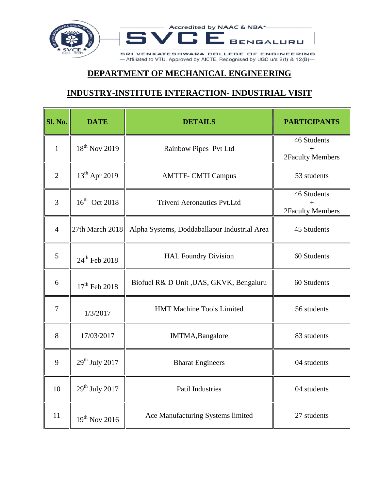

## **DEPARTMENT OF MECHANICAL ENGINEERING**

## **INDUSTRY-INSTITUTE INTERACTION- INDUSTRIAL VISIT**

| Sl. No.        | <b>DATE</b>               | <b>DETAILS</b>                               | <b>PARTICIPANTS</b>             |
|----------------|---------------------------|----------------------------------------------|---------------------------------|
| $\mathbf{1}$   | $18^{th}$ Nov 2019        | Rainbow Pipes Pvt Ltd                        | 46 Students<br>2Faculty Members |
| $\overline{2}$ | 13 <sup>th</sup> Apr 2019 | <b>AMTTF- CMTI Campus</b>                    | 53 students                     |
| 3              | 16 <sup>th</sup> Oct 2018 | Triveni Aeronautics Pvt.Ltd                  | 46 Students<br>2Faculty Members |
| $\overline{4}$ | 27th March 2018           | Alpha Systems, Doddaballapur Industrial Area | 45 Students                     |
| 5              | $24^{th}$ Feb 2018        | <b>HAL Foundry Division</b>                  | 60 Students                     |
| 6              | $17^{th}$ Feb 2018        | Biofuel R& D Unit , UAS, GKVK, Bengaluru     | 60 Students                     |
| $\tau$         | 1/3/2017                  | HMT Machine Tools Limited                    | 56 students                     |
| 8              | 17/03/2017                | IMTMA, Bangalore                             | 83 students                     |
| 9              | $29th$ July 2017          | <b>Bharat Engineers</b>                      | 04 students                     |
| 10             | $29th$ July 2017          | Patil Industries                             | 04 students                     |
| 11             | $19th$ Nov 2016           | Ace Manufacturing Systems limited            | 27 students                     |